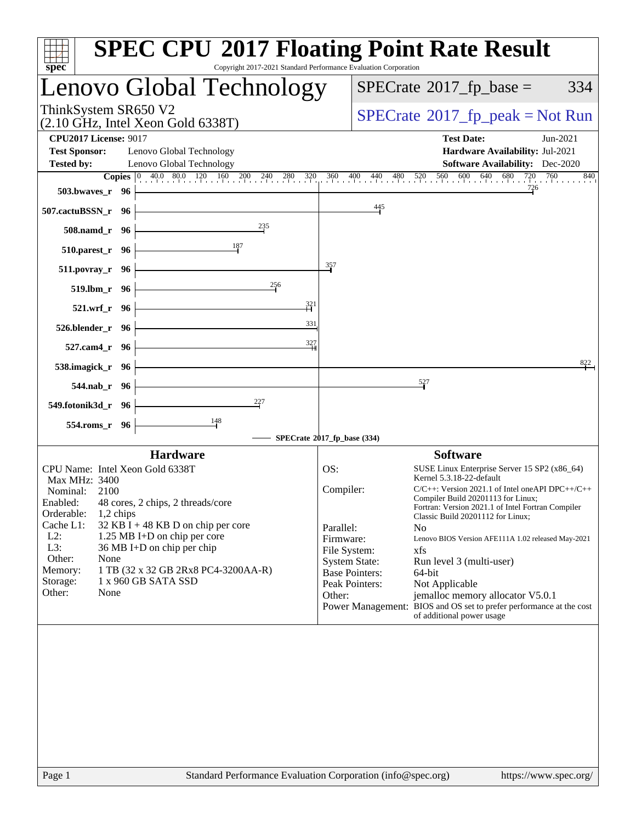| $spec^*$                                                                                                                          | <b>SPEC CPU®2017 Floating Point Rate Result</b><br>Copyright 2017-2021 Standard Performance Evaluation Corporation                                                                               |
|-----------------------------------------------------------------------------------------------------------------------------------|--------------------------------------------------------------------------------------------------------------------------------------------------------------------------------------------------|
| Lenovo Global Technology                                                                                                          | $SPECrate^{\circ}2017$ fp base =<br>334                                                                                                                                                          |
| ThinkSystem SR650 V2<br>$(2.10 \text{ GHz}, \text{Intel Xeon Gold } 6338 \text{T})$                                               | $SPECrate^{\circ}2017rfp peak = Not Run$                                                                                                                                                         |
| <b>CPU2017 License: 9017</b><br><b>Test Sponsor:</b><br>Lenovo Global Technology<br><b>Tested by:</b><br>Lenovo Global Technology | <b>Test Date:</b><br>Jun-2021<br>Hardware Availability: Jul-2021<br><b>Software Availability:</b> Dec-2020                                                                                       |
|                                                                                                                                   | <b>Copies</b> $\begin{bmatrix} 0 & 40.0 & 80.0 & 120 & 160 & 200 & 240 & 280 & 320 & 360 & 400 & 440 & 480 & 520 & 560 & 600 & 640 & 680 & 720 & 760 \end{bmatrix}$<br>840<br>726                |
| 503.bwayes_r 96                                                                                                                   | 445                                                                                                                                                                                              |
| 507.cactuBSSN_r 96<br>$^{235}$                                                                                                    |                                                                                                                                                                                                  |
| 508.namd_r 96<br>510.parest_r 96                                                                                                  |                                                                                                                                                                                                  |
| $511. povray_r$ 96                                                                                                                | 357                                                                                                                                                                                              |
| 256<br>519.lbm_r 96                                                                                                               |                                                                                                                                                                                                  |
| $\frac{321}{5}$<br>521.wrf_r 96                                                                                                   |                                                                                                                                                                                                  |
| 331<br>526.blender_r 96                                                                                                           |                                                                                                                                                                                                  |
| 327<br>527.cam4_r 96                                                                                                              |                                                                                                                                                                                                  |
| 538.imagick_r 96                                                                                                                  | 822                                                                                                                                                                                              |
| $544$ .nab $r$ 96                                                                                                                 | 527                                                                                                                                                                                              |
| $^{227}$<br>549.fotonik3d_r 96                                                                                                    |                                                                                                                                                                                                  |
| $\frac{148}{ }$<br>554.roms_r 96                                                                                                  |                                                                                                                                                                                                  |
|                                                                                                                                   | SPECrate®2017_fp_base (334)                                                                                                                                                                      |
| <b>Hardware</b><br>CPU Name: Intel Xeon Gold 6338T                                                                                | <b>Software</b><br>OS:<br>SUSE Linux Enterprise Server 15 SP2 (x86_64)                                                                                                                           |
| Max MHz: 3400                                                                                                                     | Kernel 5.3.18-22-default                                                                                                                                                                         |
| Nominal:<br>2100<br>Enabled: 48 cores, 2 chips, 2 threads/core<br>Orderable:<br>$1,2$ chips                                       | Compiler:<br>$C/C++$ : Version 2021.1 of Intel one API DPC++/C++<br>Compiler Build 20201113 for Linux;<br>Fortran: Version 2021.1 of Intel Fortran Compiler<br>Classic Build 20201112 for Linux; |
| Cache L1:<br>32 KB I + 48 KB D on chip per core<br>$L2$ :<br>1.25 MB I+D on chip per core                                         | Parallel:<br>No<br>Firmware:<br>Lenovo BIOS Version AFE111A 1.02 released May-2021                                                                                                               |
| L3:<br>36 MB I+D on chip per chip<br>Other:<br>None                                                                               | File System:<br>xfs                                                                                                                                                                              |
| 1 TB (32 x 32 GB 2Rx8 PC4-3200AA-R)<br>Memory:                                                                                    | <b>System State:</b><br>Run level 3 (multi-user)<br><b>Base Pointers:</b><br>64-bit                                                                                                              |
| 1 x 960 GB SATA SSD<br>Storage:<br>Other:<br>None                                                                                 | Peak Pointers:<br>Not Applicable<br>Other:<br>jemalloc memory allocator V5.0.1                                                                                                                   |
|                                                                                                                                   | Power Management: BIOS and OS set to prefer performance at the cost<br>of additional power usage                                                                                                 |
|                                                                                                                                   |                                                                                                                                                                                                  |
| Page 1                                                                                                                            | Standard Performance Evaluation Corporation (info@spec.org)<br>https://www.spec.org/                                                                                                             |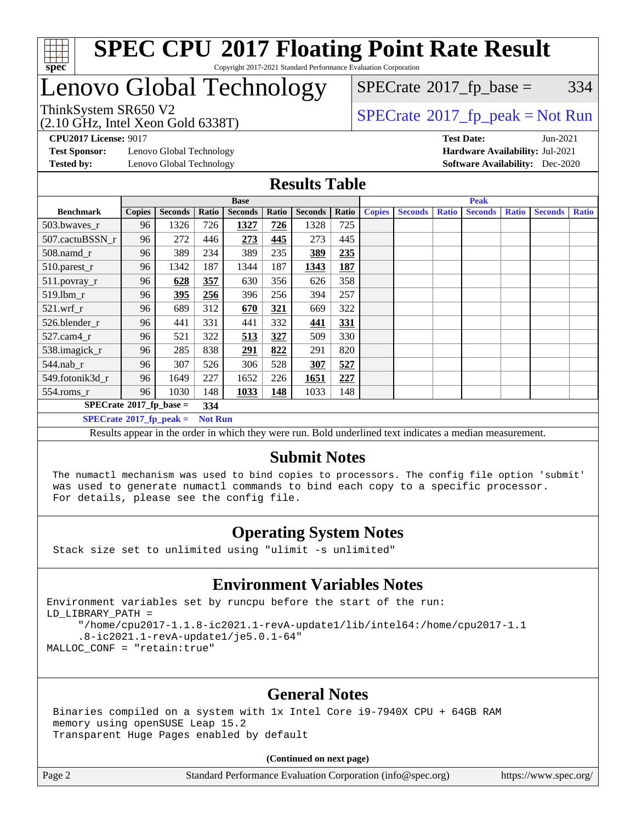

#### **[SPEC CPU](http://www.spec.org/auto/cpu2017/Docs/result-fields.html#SPECCPU2017FloatingPointRateResult)[2017 Floating Point Rate Result](http://www.spec.org/auto/cpu2017/Docs/result-fields.html#SPECCPU2017FloatingPointRateResult)** Copyright 2017-2021 Standard Performance Evaluation Corporation

### Lenovo Global Technology

 $SPECTate$ <sup>®</sup>[2017\\_fp\\_base =](http://www.spec.org/auto/cpu2017/Docs/result-fields.html#SPECrate2017fpbase) 334

(2.10 GHz, Intel Xeon Gold 6338T)

ThinkSystem SR650 V2<br>  $\begin{array}{c}\n\text{SPECTB} \setminus \text{SPECTB} \\
\text{SPECTB} \setminus \text{SPECTB} \\
\text{SPECTB} \setminus \text{SPECTB} \\
\text{SPECTB} \setminus \text{SPECTB} \\
\text{SPECTB} \setminus \text{SPECTB} \\
\text{SPECTB} \setminus \text{SIST} \\
\text{SPECTB} \setminus \text{SIST} \\
\text{SPECTB} \setminus \text{SIST} \\
\text{SPECTB} \setminus \text{SIST} \\
\text{SPECTB} \setminus \text{SIST} \\
\text{SIST} \setminus \text{SIST}$ 

**[CPU2017 License:](http://www.spec.org/auto/cpu2017/Docs/result-fields.html#CPU2017License)** 9017 **[Test Date:](http://www.spec.org/auto/cpu2017/Docs/result-fields.html#TestDate)** Jun-2021

**[Test Sponsor:](http://www.spec.org/auto/cpu2017/Docs/result-fields.html#TestSponsor)** Lenovo Global Technology **[Hardware Availability:](http://www.spec.org/auto/cpu2017/Docs/result-fields.html#HardwareAvailability)** Jul-2021 **[Tested by:](http://www.spec.org/auto/cpu2017/Docs/result-fields.html#Testedby)** Lenovo Global Technology **[Software Availability:](http://www.spec.org/auto/cpu2017/Docs/result-fields.html#SoftwareAvailability)** Dec-2020

#### **[Results Table](http://www.spec.org/auto/cpu2017/Docs/result-fields.html#ResultsTable)**

|                                                    | <b>Base</b>   |                |       |                | <b>Peak</b> |                |       |               |                |              |                |              |                |              |
|----------------------------------------------------|---------------|----------------|-------|----------------|-------------|----------------|-------|---------------|----------------|--------------|----------------|--------------|----------------|--------------|
| <b>Benchmark</b>                                   | <b>Copies</b> | <b>Seconds</b> | Ratio | <b>Seconds</b> | Ratio       | <b>Seconds</b> | Ratio | <b>Copies</b> | <b>Seconds</b> | <b>Ratio</b> | <b>Seconds</b> | <b>Ratio</b> | <b>Seconds</b> | <b>Ratio</b> |
| $503.bwaves_r$                                     | 96            | 1326           | 726   | 1327           | 726         | 1328           | 725   |               |                |              |                |              |                |              |
| 507.cactuBSSN r                                    | 96            | 272            | 446   | 273            | 445         | 273            | 445   |               |                |              |                |              |                |              |
| $508$ .namd $_r$                                   | 96            | 389            | 234   | 389            | 235         | 389            | 235   |               |                |              |                |              |                |              |
| 510.parest_r                                       | 96            | 1342           | 187   | 1344           | 187         | 1343           | 187   |               |                |              |                |              |                |              |
| 511.povray_r                                       | 96            | 628            | 357   | 630            | 356         | 626            | 358   |               |                |              |                |              |                |              |
| 519.lbm r                                          | 96            | 395            | 256   | 396            | 256         | 394            | 257   |               |                |              |                |              |                |              |
| $521$ .wrf r                                       | 96            | 689            | 312   | 670            | 321         | 669            | 322   |               |                |              |                |              |                |              |
| 526.blender r                                      | 96            | 441            | 331   | 441            | 332         | 441            | 331   |               |                |              |                |              |                |              |
| $527$ .cam $4r$                                    | 96            | 521            | 322   | 513            | 327         | 509            | 330   |               |                |              |                |              |                |              |
| 538.imagick_r                                      | 96            | 285            | 838   | 291            | 822         | 291            | 820   |               |                |              |                |              |                |              |
| $544$ .nab r                                       | 96            | 307            | 526   | 306            | 528         | 307            | 527   |               |                |              |                |              |                |              |
| 549.fotonik3d r                                    | 96            | 1649           | 227   | 1652           | 226         | 1651           | 227   |               |                |              |                |              |                |              |
| $554$ .roms_r                                      | 96            | 1030           | 148   | 1033           | 148         | 1033           | 148   |               |                |              |                |              |                |              |
| $SPECrate^{\otimes}2017$ fp base =<br>334          |               |                |       |                |             |                |       |               |                |              |                |              |                |              |
| $SPECrate^{\circ}2017$ fp peak =<br><b>Not Run</b> |               |                |       |                |             |                |       |               |                |              |                |              |                |              |

Results appear in the [order in which they were run](http://www.spec.org/auto/cpu2017/Docs/result-fields.html#RunOrder). Bold underlined text [indicates a median measurement](http://www.spec.org/auto/cpu2017/Docs/result-fields.html#Median).

#### **[Submit Notes](http://www.spec.org/auto/cpu2017/Docs/result-fields.html#SubmitNotes)**

 The numactl mechanism was used to bind copies to processors. The config file option 'submit' was used to generate numactl commands to bind each copy to a specific processor. For details, please see the config file.

#### **[Operating System Notes](http://www.spec.org/auto/cpu2017/Docs/result-fields.html#OperatingSystemNotes)**

Stack size set to unlimited using "ulimit -s unlimited"

#### **[Environment Variables Notes](http://www.spec.org/auto/cpu2017/Docs/result-fields.html#EnvironmentVariablesNotes)**

```
Environment variables set by runcpu before the start of the run:
LD_LIBRARY_PATH =
      "/home/cpu2017-1.1.8-ic2021.1-revA-update1/lib/intel64:/home/cpu2017-1.1
      .8-ic2021.1-revA-update1/je5.0.1-64"
MALLOC_CONF = "retain:true"
```
#### **[General Notes](http://www.spec.org/auto/cpu2017/Docs/result-fields.html#GeneralNotes)**

 Binaries compiled on a system with 1x Intel Core i9-7940X CPU + 64GB RAM memory using openSUSE Leap 15.2 Transparent Huge Pages enabled by default

**(Continued on next page)**

Page 2 Standard Performance Evaluation Corporation [\(info@spec.org\)](mailto:info@spec.org) <https://www.spec.org/>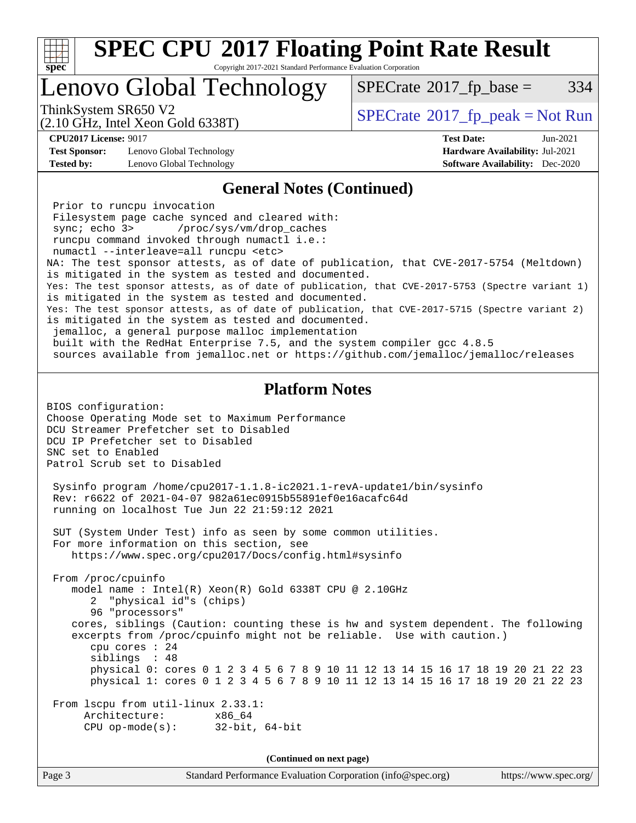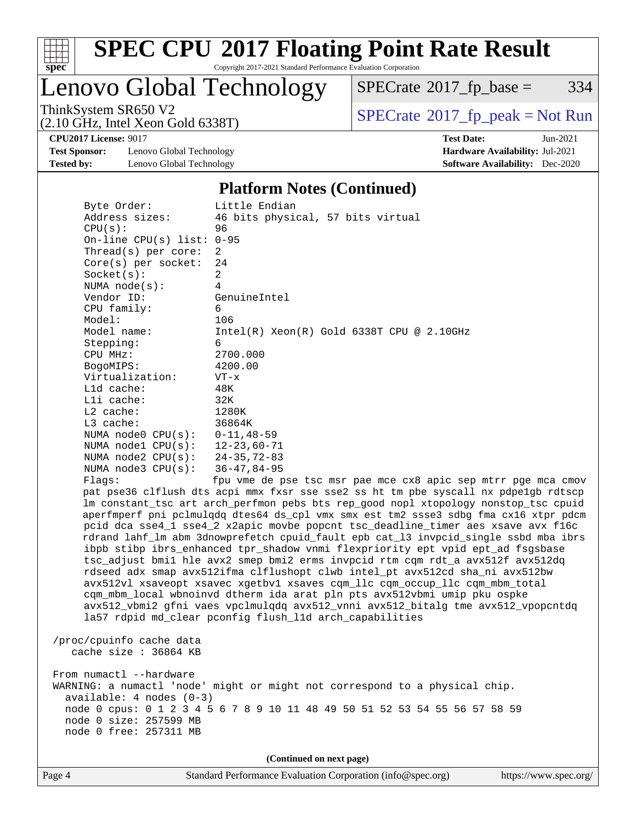

Copyright 2017-2021 Standard Performance Evaluation Corporation

Lenovo Global Technology

 $SPECTate$ <sup>®</sup>[2017\\_fp\\_base =](http://www.spec.org/auto/cpu2017/Docs/result-fields.html#SPECrate2017fpbase) 334

(2.10 GHz, Intel Xeon Gold 6338T)

ThinkSystem SR650 V2<br>(2.10 GHz, Intel Xeon Gold 6338T)  $\vert$  [SPECrate](http://www.spec.org/auto/cpu2017/Docs/result-fields.html#SPECrate2017fppeak)®[2017\\_fp\\_peak = N](http://www.spec.org/auto/cpu2017/Docs/result-fields.html#SPECrate2017fppeak)ot Run

**[CPU2017 License:](http://www.spec.org/auto/cpu2017/Docs/result-fields.html#CPU2017License)** 9017 **[Test Date:](http://www.spec.org/auto/cpu2017/Docs/result-fields.html#TestDate)** Jun-2021

**[Test Sponsor:](http://www.spec.org/auto/cpu2017/Docs/result-fields.html#TestSponsor)** Lenovo Global Technology **[Hardware Availability:](http://www.spec.org/auto/cpu2017/Docs/result-fields.html#HardwareAvailability)** Jul-2021 **[Tested by:](http://www.spec.org/auto/cpu2017/Docs/result-fields.html#Testedby)** Lenovo Global Technology **[Software Availability:](http://www.spec.org/auto/cpu2017/Docs/result-fields.html#SoftwareAvailability)** Dec-2020

#### **[Platform Notes \(Continued\)](http://www.spec.org/auto/cpu2017/Docs/result-fields.html#PlatformNotes)**

 Byte Order: Little Endian Address sizes: 46 bits physical, 57 bits virtual CPU(s): 96 On-line CPU(s) list: 0-95 Thread(s) per core: 2 Core(s) per socket: 24  $Socket(s):$  NUMA node(s): 4 Vendor ID: GenuineIntel CPU family: 6 Model: 106 Model name: Intel(R) Xeon(R) Gold 6338T CPU @ 2.10GHz Stepping: 6 CPU MHz: 2700.000 BogoMIPS: 4200.00 Virtualization: VT-x L1d cache: 48K L1i cache: 32K L2 cache: 1280K L3 cache: 36864K NUMA node0 CPU(s): 0-11,48-59 NUMA node1 CPU(s): 12-23,60-71 NUMA node2 CPU(s): 24-35,72-83 NUMA node3 CPU(s): 36-47,84-95 Flags: fpu vme de pse tsc msr pae mce cx8 apic sep mtrr pge mca cmov pat pse36 clflush dts acpi mmx fxsr sse sse2 ss ht tm pbe syscall nx pdpe1gb rdtscp lm constant\_tsc art arch\_perfmon pebs bts rep\_good nopl xtopology nonstop\_tsc cpuid aperfmperf pni pclmulqdq dtes64 ds\_cpl vmx smx est tm2 ssse3 sdbg fma cx16 xtpr pdcm pcid dca sse4\_1 sse4\_2 x2apic movbe popcnt tsc\_deadline\_timer aes xsave avx f16c rdrand lahf\_lm abm 3dnowprefetch cpuid\_fault epb cat\_l3 invpcid\_single ssbd mba ibrs ibpb stibp ibrs\_enhanced tpr\_shadow vnmi flexpriority ept vpid ept\_ad fsgsbase tsc\_adjust bmi1 hle avx2 smep bmi2 erms invpcid rtm cqm rdt\_a avx512f avx512dq rdseed adx smap avx512ifma clflushopt clwb intel\_pt avx512cd sha\_ni avx512bw avx512vl xsaveopt xsavec xgetbv1 xsaves cqm\_llc cqm\_occup\_llc cqm\_mbm\_total cqm\_mbm\_local wbnoinvd dtherm ida arat pln pts avx512vbmi umip pku ospke avx512\_vbmi2 gfni vaes vpclmulqdq avx512\_vnni avx512\_bitalg tme avx512\_vpopcntdq la57 rdpid md\_clear pconfig flush\_l1d arch\_capabilities /proc/cpuinfo cache data cache size : 36864 KB

From numactl --hardware WARNING: a numactl 'node' might or might not correspond to a physical chip. available: 4 nodes (0-3) node 0 cpus: 0 1 2 3 4 5 6 7 8 9 10 11 48 49 50 51 52 53 54 55 56 57 58 59 node 0 size: 257599 MB node 0 free: 257311 MB

**(Continued on next page)**

Page 4 Standard Performance Evaluation Corporation [\(info@spec.org\)](mailto:info@spec.org) <https://www.spec.org/>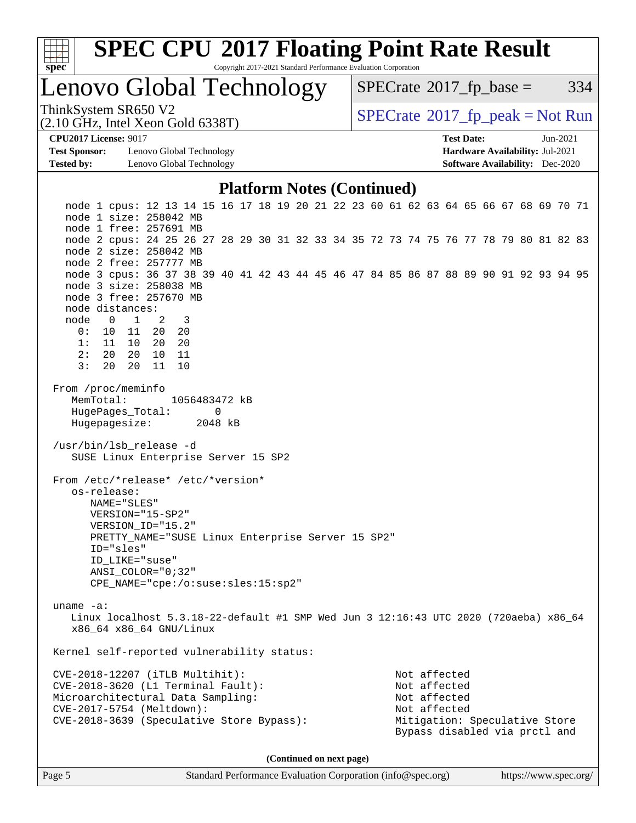

Copyright 2017-2021 Standard Performance Evaluation Corporation

Lenovo Global Technology

 $SPECTate$ <sup>®</sup>[2017\\_fp\\_base =](http://www.spec.org/auto/cpu2017/Docs/result-fields.html#SPECrate2017fpbase) 334

(2.10 GHz, Intel Xeon Gold 6338T)

ThinkSystem SR650 V2<br>(2.10 GHz, Intel Xeon Gold 6338T)  $\begin{array}{c} | \text{SPECrate} \textdegree 2017\_fp\_peak = Not Run \end{array}$  $\begin{array}{c} | \text{SPECrate} \textdegree 2017\_fp\_peak = Not Run \end{array}$  $\begin{array}{c} | \text{SPECrate} \textdegree 2017\_fp\_peak = Not Run \end{array}$ 

**[Test Sponsor:](http://www.spec.org/auto/cpu2017/Docs/result-fields.html#TestSponsor)** Lenovo Global Technology **[Hardware Availability:](http://www.spec.org/auto/cpu2017/Docs/result-fields.html#HardwareAvailability)** Jul-2021 **[Tested by:](http://www.spec.org/auto/cpu2017/Docs/result-fields.html#Testedby)** Lenovo Global Technology **[Software Availability:](http://www.spec.org/auto/cpu2017/Docs/result-fields.html#SoftwareAvailability)** Dec-2020

**[CPU2017 License:](http://www.spec.org/auto/cpu2017/Docs/result-fields.html#CPU2017License)** 9017 **[Test Date:](http://www.spec.org/auto/cpu2017/Docs/result-fields.html#TestDate)** Jun-2021

#### **[Platform Notes \(Continued\)](http://www.spec.org/auto/cpu2017/Docs/result-fields.html#PlatformNotes)**

 node 1 cpus: 12 13 14 15 16 17 18 19 20 21 22 23 60 61 62 63 64 65 66 67 68 69 70 71 node 1 size: 258042 MB node 1 free: 257691 MB node 2 cpus: 24 25 26 27 28 29 30 31 32 33 34 35 72 73 74 75 76 77 78 79 80 81 82 83 node 2 size: 258042 MB node 2 free: 257777 MB node 3 cpus: 36 37 38 39 40 41 42 43 44 45 46 47 84 85 86 87 88 89 90 91 92 93 94 95 node 3 size: 258038 MB node 3 free: 257670 MB node distances: node 0 1 2 3 0: 10 11 20 20 1: 11 10 20 20 2: 20 20 10 11 3: 20 20 11 10 From /proc/meminfo MemTotal: 1056483472 kB HugePages\_Total: 0 Hugepagesize: 2048 kB /usr/bin/lsb\_release -d SUSE Linux Enterprise Server 15 SP2 From /etc/\*release\* /etc/\*version\* os-release: NAME="SLES" VERSION="15-SP2" VERSION\_ID="15.2" PRETTY\_NAME="SUSE Linux Enterprise Server 15 SP2" ID="sles" ID\_LIKE="suse" ANSI\_COLOR="0;32" CPE\_NAME="cpe:/o:suse:sles:15:sp2" uname -a: Linux localhost 5.3.18-22-default #1 SMP Wed Jun 3 12:16:43 UTC 2020 (720aeba) x86\_64 x86\_64 x86\_64 GNU/Linux Kernel self-reported vulnerability status: CVE-2018-12207 (iTLB Multihit): Not affected CVE-2018-3620 (L1 Terminal Fault): Not affected Microarchitectural Data Sampling: Not affected CVE-2017-5754 (Meltdown): Not affected CVE-2018-3639 (Speculative Store Bypass): Mitigation: Speculative Store Bypass disabled via prctl and

**(Continued on next page)**

Page 5 Standard Performance Evaluation Corporation [\(info@spec.org\)](mailto:info@spec.org) <https://www.spec.org/>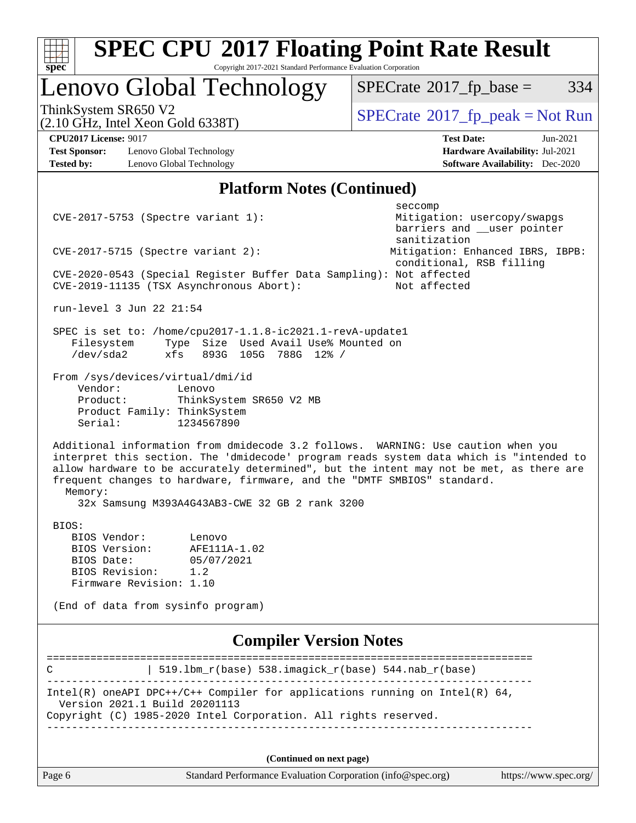

Page 6 Standard Performance Evaluation Corporation [\(info@spec.org\)](mailto:info@spec.org) <https://www.spec.org/>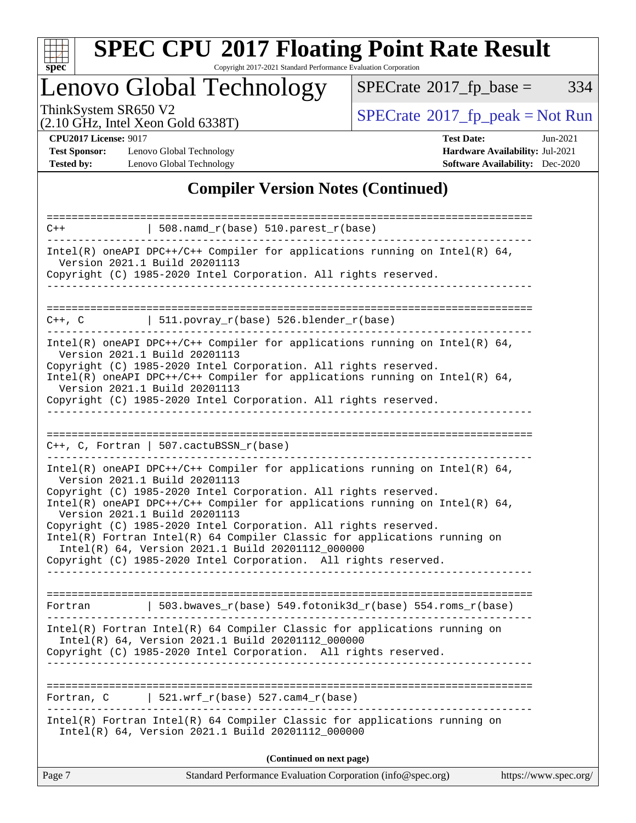

Copyright 2017-2021 Standard Performance Evaluation Corporation

Lenovo Global Technology

 $SPECTate@2017_fp\_base = 334$ 

(2.10 GHz, Intel Xeon Gold 6338T)

ThinkSystem SR650 V2<br>
(2.10 GHz, Intel Xeon Gold 6338T)<br> [SPECrate](http://www.spec.org/auto/cpu2017/Docs/result-fields.html#SPECrate2017fppeak)®[2017\\_fp\\_peak = N](http://www.spec.org/auto/cpu2017/Docs/result-fields.html#SPECrate2017fppeak)ot Run

**[Test Sponsor:](http://www.spec.org/auto/cpu2017/Docs/result-fields.html#TestSponsor)** Lenovo Global Technology **[Hardware Availability:](http://www.spec.org/auto/cpu2017/Docs/result-fields.html#HardwareAvailability)** Jul-2021 **[Tested by:](http://www.spec.org/auto/cpu2017/Docs/result-fields.html#Testedby)** Lenovo Global Technology **[Software Availability:](http://www.spec.org/auto/cpu2017/Docs/result-fields.html#SoftwareAvailability)** Dec-2020

**[CPU2017 License:](http://www.spec.org/auto/cpu2017/Docs/result-fields.html#CPU2017License)** 9017 **[Test Date:](http://www.spec.org/auto/cpu2017/Docs/result-fields.html#TestDate)** Jun-2021

### **[Compiler Version Notes \(Continued\)](http://www.spec.org/auto/cpu2017/Docs/result-fields.html#CompilerVersionNotes)**

| Page 7      | Standard Performance Evaluation Corporation (info@spec.org)                                                                                                                                         | https://www.spec.org/ |
|-------------|-----------------------------------------------------------------------------------------------------------------------------------------------------------------------------------------------------|-----------------------|
|             | (Continued on next page)                                                                                                                                                                            |                       |
|             | Intel(R) Fortran Intel(R) 64 Compiler Classic for applications running on<br>Intel(R) 64, Version 2021.1 Build 20201112_000000                                                                      |                       |
| Fortran, C  | 521.wrf $r(base)$ 527.cam4 $r(base)$                                                                                                                                                                |                       |
|             |                                                                                                                                                                                                     |                       |
|             | $Intel(R)$ Fortran Intel(R) 64 Compiler Classic for applications running on<br>Intel(R) 64, Version 2021.1 Build 20201112_000000<br>Copyright (C) 1985-2020 Intel Corporation. All rights reserved. |                       |
| Fortran     | 503.bwaves_r(base) 549.fotonik3d_r(base) 554.roms_r(base)                                                                                                                                           |                       |
|             |                                                                                                                                                                                                     |                       |
|             | Intel(R) Fortran Intel(R) 64 Compiler Classic for applications running on<br>Intel(R) 64, Version 2021.1 Build 20201112_000000<br>Copyright (C) 1985-2020 Intel Corporation. All rights reserved.   |                       |
|             | Version 2021.1 Build 20201113<br>Copyright (C) 1985-2020 Intel Corporation. All rights reserved.                                                                                                    |                       |
|             | Copyright (C) 1985-2020 Intel Corporation. All rights reserved.<br>Intel(R) oneAPI DPC++/C++ Compiler for applications running on Intel(R) $64$ ,                                                   |                       |
|             | Intel(R) oneAPI DPC++/C++ Compiler for applications running on Intel(R) $64$ ,<br>Version 2021.1 Build 20201113                                                                                     |                       |
|             | $C++$ , C, Fortran   507.cactuBSSN_r(base)                                                                                                                                                          |                       |
|             |                                                                                                                                                                                                     |                       |
|             | Copyright (C) 1985-2020 Intel Corporation. All rights reserved.<br>. Le le le le le le le le le le le                                                                                               |                       |
|             | Intel(R) oneAPI DPC++/C++ Compiler for applications running on Intel(R) $64$ ,<br>Version 2021.1 Build 20201113                                                                                     |                       |
|             | Version 2021.1 Build 20201113<br>Copyright (C) 1985-2020 Intel Corporation. All rights reserved.                                                                                                    |                       |
|             | Intel(R) oneAPI DPC++/C++ Compiler for applications running on Intel(R) $64$ ,                                                                                                                      |                       |
| $C++$ , $C$ | $  511.povray_r(base) 526.blender_r(base)$                                                                                                                                                          |                       |
|             |                                                                                                                                                                                                     |                       |
|             | Version 2021.1 Build 20201113<br>Copyright (C) 1985-2020 Intel Corporation. All rights reserved.                                                                                                    |                       |
|             | $Intel(R)$ oneAPI DPC++/C++ Compiler for applications running on Intel(R) 64,                                                                                                                       |                       |
| $C++$       | $\vert$ 508.namd_r(base) 510.parest_r(base)                                                                                                                                                         |                       |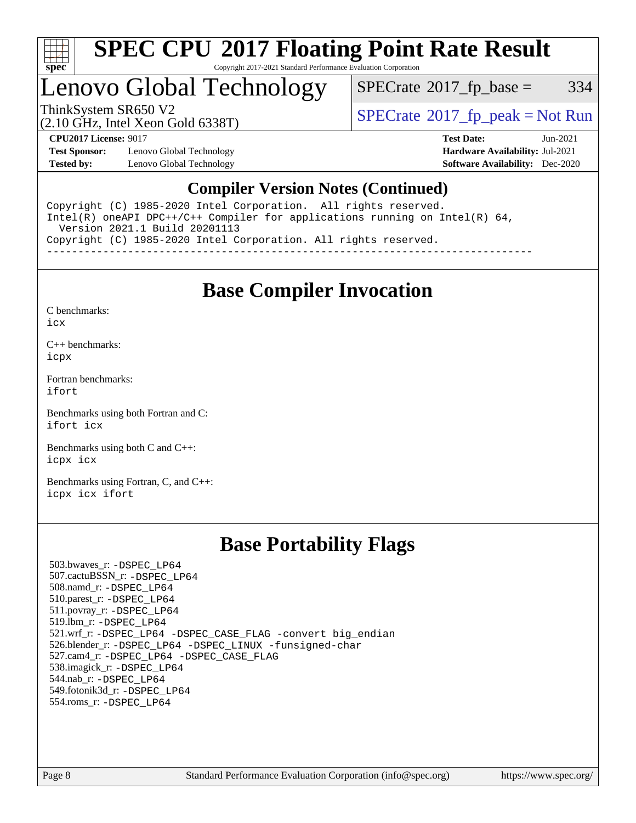

#### **[SPEC CPU](http://www.spec.org/auto/cpu2017/Docs/result-fields.html#SPECCPU2017FloatingPointRateResult)[2017 Floating Point Rate Result](http://www.spec.org/auto/cpu2017/Docs/result-fields.html#SPECCPU2017FloatingPointRateResult)** Copyright 2017-2021 Standard Performance Evaluation Corporation

### Lenovo Global Technology

 $SPECTate$ <sup>®</sup>[2017\\_fp\\_base =](http://www.spec.org/auto/cpu2017/Docs/result-fields.html#SPECrate2017fpbase) 334

(2.10 GHz, Intel Xeon Gold 6338T)

ThinkSystem SR650 V2<br>  $\begin{array}{c}\n\text{SPECrate} \textcirc 2017\_fp\_peak = Not Run \\
\text{SPECrate} \textcirc 2017\_fp\_peak = Not Run\n\end{array}$  $\begin{array}{c}\n\text{SPECrate} \textcirc 2017\_fp\_peak = Not Run \\
\text{SPECrate} \textcirc 2017\_fp\_peak = Not Run\n\end{array}$  $\begin{array}{c}\n\text{SPECrate} \textcirc 2017\_fp\_peak = Not Run \\
\text{SPECrate} \textcirc 2017\_fp\_peak = Not Run\n\end{array}$ 

**[Test Sponsor:](http://www.spec.org/auto/cpu2017/Docs/result-fields.html#TestSponsor)** Lenovo Global Technology **[Hardware Availability:](http://www.spec.org/auto/cpu2017/Docs/result-fields.html#HardwareAvailability)** Jul-2021 **[Tested by:](http://www.spec.org/auto/cpu2017/Docs/result-fields.html#Testedby)** Lenovo Global Technology **[Software Availability:](http://www.spec.org/auto/cpu2017/Docs/result-fields.html#SoftwareAvailability)** Dec-2020

**[CPU2017 License:](http://www.spec.org/auto/cpu2017/Docs/result-fields.html#CPU2017License)** 9017 **[Test Date:](http://www.spec.org/auto/cpu2017/Docs/result-fields.html#TestDate)** Jun-2021

#### **[Compiler Version Notes \(Continued\)](http://www.spec.org/auto/cpu2017/Docs/result-fields.html#CompilerVersionNotes)**

Copyright (C) 1985-2020 Intel Corporation. All rights reserved. Intel(R) oneAPI DPC++/C++ Compiler for applications running on Intel(R) 64, Version 2021.1 Build 20201113 Copyright (C) 1985-2020 Intel Corporation. All rights reserved. ------------------------------------------------------------------------------

### **[Base Compiler Invocation](http://www.spec.org/auto/cpu2017/Docs/result-fields.html#BaseCompilerInvocation)**

[C benchmarks](http://www.spec.org/auto/cpu2017/Docs/result-fields.html#Cbenchmarks): [icx](http://www.spec.org/cpu2017/results/res2021q3/cpu2017-20210706-28128.flags.html#user_CCbase_intel_icx_fe2d28d19ae2a5db7c42fe0f2a2aed77cb715edd4aeb23434404a8be6683fe239869bb6ca8154ca98265c2e3b9226a719a0efe2953a4a7018c379b7010ccf087)

[C++ benchmarks:](http://www.spec.org/auto/cpu2017/Docs/result-fields.html#CXXbenchmarks) [icpx](http://www.spec.org/cpu2017/results/res2021q3/cpu2017-20210706-28128.flags.html#user_CXXbase_intel_icpx_1e918ed14c436bf4b9b7c8bcdd51d4539fc71b3df010bd1e9f8732d9c34c2b2914e48204a846820f3c0ebb4095dea797a5c30b458ac0b6dffac65d78f781f5ca)

[Fortran benchmarks](http://www.spec.org/auto/cpu2017/Docs/result-fields.html#Fortranbenchmarks): [ifort](http://www.spec.org/cpu2017/results/res2021q3/cpu2017-20210706-28128.flags.html#user_FCbase_intel_ifort_8111460550e3ca792625aed983ce982f94888b8b503583aa7ba2b8303487b4d8a21a13e7191a45c5fd58ff318f48f9492884d4413fa793fd88dd292cad7027ca)

[Benchmarks using both Fortran and C](http://www.spec.org/auto/cpu2017/Docs/result-fields.html#BenchmarksusingbothFortranandC): [ifort](http://www.spec.org/cpu2017/results/res2021q3/cpu2017-20210706-28128.flags.html#user_CC_FCbase_intel_ifort_8111460550e3ca792625aed983ce982f94888b8b503583aa7ba2b8303487b4d8a21a13e7191a45c5fd58ff318f48f9492884d4413fa793fd88dd292cad7027ca) [icx](http://www.spec.org/cpu2017/results/res2021q3/cpu2017-20210706-28128.flags.html#user_CC_FCbase_intel_icx_fe2d28d19ae2a5db7c42fe0f2a2aed77cb715edd4aeb23434404a8be6683fe239869bb6ca8154ca98265c2e3b9226a719a0efe2953a4a7018c379b7010ccf087)

[Benchmarks using both C and C++](http://www.spec.org/auto/cpu2017/Docs/result-fields.html#BenchmarksusingbothCandCXX): [icpx](http://www.spec.org/cpu2017/results/res2021q3/cpu2017-20210706-28128.flags.html#user_CC_CXXbase_intel_icpx_1e918ed14c436bf4b9b7c8bcdd51d4539fc71b3df010bd1e9f8732d9c34c2b2914e48204a846820f3c0ebb4095dea797a5c30b458ac0b6dffac65d78f781f5ca) [icx](http://www.spec.org/cpu2017/results/res2021q3/cpu2017-20210706-28128.flags.html#user_CC_CXXbase_intel_icx_fe2d28d19ae2a5db7c42fe0f2a2aed77cb715edd4aeb23434404a8be6683fe239869bb6ca8154ca98265c2e3b9226a719a0efe2953a4a7018c379b7010ccf087)

[Benchmarks using Fortran, C, and C++:](http://www.spec.org/auto/cpu2017/Docs/result-fields.html#BenchmarksusingFortranCandCXX) [icpx](http://www.spec.org/cpu2017/results/res2021q3/cpu2017-20210706-28128.flags.html#user_CC_CXX_FCbase_intel_icpx_1e918ed14c436bf4b9b7c8bcdd51d4539fc71b3df010bd1e9f8732d9c34c2b2914e48204a846820f3c0ebb4095dea797a5c30b458ac0b6dffac65d78f781f5ca) [icx](http://www.spec.org/cpu2017/results/res2021q3/cpu2017-20210706-28128.flags.html#user_CC_CXX_FCbase_intel_icx_fe2d28d19ae2a5db7c42fe0f2a2aed77cb715edd4aeb23434404a8be6683fe239869bb6ca8154ca98265c2e3b9226a719a0efe2953a4a7018c379b7010ccf087) [ifort](http://www.spec.org/cpu2017/results/res2021q3/cpu2017-20210706-28128.flags.html#user_CC_CXX_FCbase_intel_ifort_8111460550e3ca792625aed983ce982f94888b8b503583aa7ba2b8303487b4d8a21a13e7191a45c5fd58ff318f48f9492884d4413fa793fd88dd292cad7027ca)

### **[Base Portability Flags](http://www.spec.org/auto/cpu2017/Docs/result-fields.html#BasePortabilityFlags)**

 503.bwaves\_r: [-DSPEC\\_LP64](http://www.spec.org/cpu2017/results/res2021q3/cpu2017-20210706-28128.flags.html#suite_basePORTABILITY503_bwaves_r_DSPEC_LP64) 507.cactuBSSN\_r: [-DSPEC\\_LP64](http://www.spec.org/cpu2017/results/res2021q3/cpu2017-20210706-28128.flags.html#suite_basePORTABILITY507_cactuBSSN_r_DSPEC_LP64) 508.namd\_r: [-DSPEC\\_LP64](http://www.spec.org/cpu2017/results/res2021q3/cpu2017-20210706-28128.flags.html#suite_basePORTABILITY508_namd_r_DSPEC_LP64) 510.parest\_r: [-DSPEC\\_LP64](http://www.spec.org/cpu2017/results/res2021q3/cpu2017-20210706-28128.flags.html#suite_basePORTABILITY510_parest_r_DSPEC_LP64) 511.povray\_r: [-DSPEC\\_LP64](http://www.spec.org/cpu2017/results/res2021q3/cpu2017-20210706-28128.flags.html#suite_basePORTABILITY511_povray_r_DSPEC_LP64) 519.lbm\_r: [-DSPEC\\_LP64](http://www.spec.org/cpu2017/results/res2021q3/cpu2017-20210706-28128.flags.html#suite_basePORTABILITY519_lbm_r_DSPEC_LP64) 521.wrf\_r: [-DSPEC\\_LP64](http://www.spec.org/cpu2017/results/res2021q3/cpu2017-20210706-28128.flags.html#suite_basePORTABILITY521_wrf_r_DSPEC_LP64) [-DSPEC\\_CASE\\_FLAG](http://www.spec.org/cpu2017/results/res2021q3/cpu2017-20210706-28128.flags.html#b521.wrf_r_baseCPORTABILITY_DSPEC_CASE_FLAG) [-convert big\\_endian](http://www.spec.org/cpu2017/results/res2021q3/cpu2017-20210706-28128.flags.html#user_baseFPORTABILITY521_wrf_r_convert_big_endian_c3194028bc08c63ac5d04de18c48ce6d347e4e562e8892b8bdbdc0214820426deb8554edfa529a3fb25a586e65a3d812c835984020483e7e73212c4d31a38223) 526.blender\_r: [-DSPEC\\_LP64](http://www.spec.org/cpu2017/results/res2021q3/cpu2017-20210706-28128.flags.html#suite_basePORTABILITY526_blender_r_DSPEC_LP64) [-DSPEC\\_LINUX](http://www.spec.org/cpu2017/results/res2021q3/cpu2017-20210706-28128.flags.html#b526.blender_r_baseCPORTABILITY_DSPEC_LINUX) [-funsigned-char](http://www.spec.org/cpu2017/results/res2021q3/cpu2017-20210706-28128.flags.html#user_baseCPORTABILITY526_blender_r_force_uchar_40c60f00ab013830e2dd6774aeded3ff59883ba5a1fc5fc14077f794d777847726e2a5858cbc7672e36e1b067e7e5c1d9a74f7176df07886a243d7cc18edfe67) 527.cam4\_r: [-DSPEC\\_LP64](http://www.spec.org/cpu2017/results/res2021q3/cpu2017-20210706-28128.flags.html#suite_basePORTABILITY527_cam4_r_DSPEC_LP64) [-DSPEC\\_CASE\\_FLAG](http://www.spec.org/cpu2017/results/res2021q3/cpu2017-20210706-28128.flags.html#b527.cam4_r_baseCPORTABILITY_DSPEC_CASE_FLAG) 538.imagick\_r: [-DSPEC\\_LP64](http://www.spec.org/cpu2017/results/res2021q3/cpu2017-20210706-28128.flags.html#suite_basePORTABILITY538_imagick_r_DSPEC_LP64) 544.nab\_r: [-DSPEC\\_LP64](http://www.spec.org/cpu2017/results/res2021q3/cpu2017-20210706-28128.flags.html#suite_basePORTABILITY544_nab_r_DSPEC_LP64) 549.fotonik3d\_r: [-DSPEC\\_LP64](http://www.spec.org/cpu2017/results/res2021q3/cpu2017-20210706-28128.flags.html#suite_basePORTABILITY549_fotonik3d_r_DSPEC_LP64) 554.roms\_r: [-DSPEC\\_LP64](http://www.spec.org/cpu2017/results/res2021q3/cpu2017-20210706-28128.flags.html#suite_basePORTABILITY554_roms_r_DSPEC_LP64)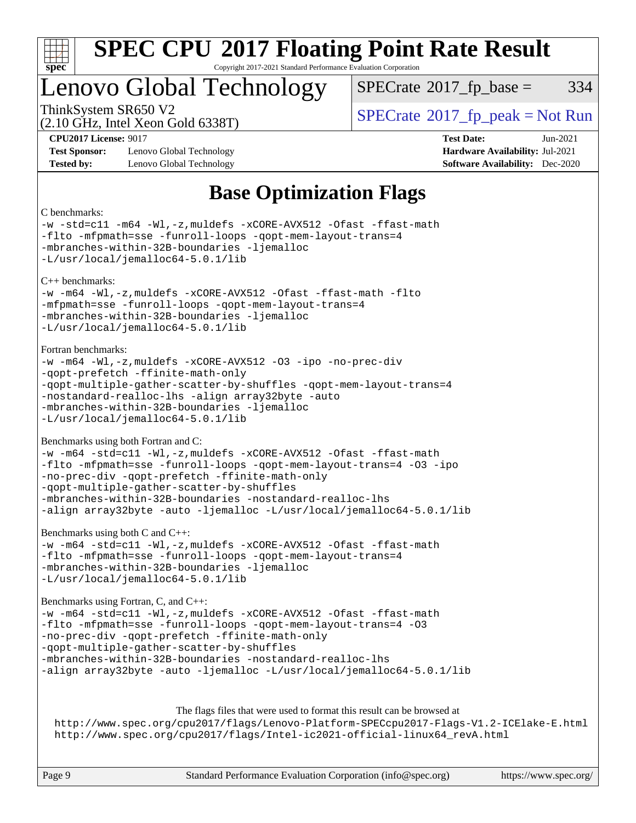

Copyright 2017-2021 Standard Performance Evaluation Corporation

### Lenovo Global Technology

 $SPECTate@2017<sub>fp</sub> base =  $334$$ 

(2.10 GHz, Intel Xeon Gold 6338T)

ThinkSystem SR650 V2<br>  $\begin{array}{c}\n\text{SPECrate} \textcirc 2017 \text{ fp } peak = Not Run\n\end{array}$  $\begin{array}{c}\n\text{SPECrate} \textcirc 2017 \text{ fp } peak = Not Run\n\end{array}$  $\begin{array}{c}\n\text{SPECrate} \textcirc 2017 \text{ fp } peak = Not Run\n\end{array}$ 

**[Test Sponsor:](http://www.spec.org/auto/cpu2017/Docs/result-fields.html#TestSponsor)** Lenovo Global Technology **[Hardware Availability:](http://www.spec.org/auto/cpu2017/Docs/result-fields.html#HardwareAvailability)** Jul-2021 **[Tested by:](http://www.spec.org/auto/cpu2017/Docs/result-fields.html#Testedby)** Lenovo Global Technology **[Software Availability:](http://www.spec.org/auto/cpu2017/Docs/result-fields.html#SoftwareAvailability)** Dec-2020

**[CPU2017 License:](http://www.spec.org/auto/cpu2017/Docs/result-fields.html#CPU2017License)** 9017 **[Test Date:](http://www.spec.org/auto/cpu2017/Docs/result-fields.html#TestDate)** Jun-2021

### **[Base Optimization Flags](http://www.spec.org/auto/cpu2017/Docs/result-fields.html#BaseOptimizationFlags)**

[C benchmarks:](http://www.spec.org/auto/cpu2017/Docs/result-fields.html#Cbenchmarks) [-w](http://www.spec.org/cpu2017/results/res2021q3/cpu2017-20210706-28128.flags.html#user_CCbase_supress_warning_66fb2c4e5c1dd10f38bdd29623979399e5ae75ae6e5453792d82ef66afed381df4a8602f92cac8d2ea0fffa7b93b4b1ccb9ecad4af01c9b2fe338b2082ae3859) [-std=c11](http://www.spec.org/cpu2017/results/res2021q3/cpu2017-20210706-28128.flags.html#user_CCbase_std-icc-std_0e1c27790398a4642dfca32ffe6c27b5796f9c2d2676156f2e42c9c44eaad0c049b1cdb667a270c34d979996257aeb8fc440bfb01818dbc9357bd9d174cb8524) [-m64](http://www.spec.org/cpu2017/results/res2021q3/cpu2017-20210706-28128.flags.html#user_CCbase_m64-icc) [-Wl,-z,muldefs](http://www.spec.org/cpu2017/results/res2021q3/cpu2017-20210706-28128.flags.html#user_CCbase_link_force_multiple1_b4cbdb97b34bdee9ceefcfe54f4c8ea74255f0b02a4b23e853cdb0e18eb4525ac79b5a88067c842dd0ee6996c24547a27a4b99331201badda8798ef8a743f577) [-xCORE-AVX512](http://www.spec.org/cpu2017/results/res2021q3/cpu2017-20210706-28128.flags.html#user_CCbase_f-xCORE-AVX512) [-Ofast](http://www.spec.org/cpu2017/results/res2021q3/cpu2017-20210706-28128.flags.html#user_CCbase_f-Ofast) [-ffast-math](http://www.spec.org/cpu2017/results/res2021q3/cpu2017-20210706-28128.flags.html#user_CCbase_f-ffast-math) [-flto](http://www.spec.org/cpu2017/results/res2021q3/cpu2017-20210706-28128.flags.html#user_CCbase_f-flto) [-mfpmath=sse](http://www.spec.org/cpu2017/results/res2021q3/cpu2017-20210706-28128.flags.html#user_CCbase_f-mfpmath_70eb8fac26bde974f8ab713bc9086c5621c0b8d2f6c86f38af0bd7062540daf19db5f3a066d8c6684be05d84c9b6322eb3b5be6619d967835195b93d6c02afa1) [-funroll-loops](http://www.spec.org/cpu2017/results/res2021q3/cpu2017-20210706-28128.flags.html#user_CCbase_f-funroll-loops) [-qopt-mem-layout-trans=4](http://www.spec.org/cpu2017/results/res2021q3/cpu2017-20210706-28128.flags.html#user_CCbase_f-qopt-mem-layout-trans_fa39e755916c150a61361b7846f310bcdf6f04e385ef281cadf3647acec3f0ae266d1a1d22d972a7087a248fd4e6ca390a3634700869573d231a252c784941a8) [-mbranches-within-32B-boundaries](http://www.spec.org/cpu2017/results/res2021q3/cpu2017-20210706-28128.flags.html#user_CCbase_f-mbranches-within-32B-boundaries) [-ljemalloc](http://www.spec.org/cpu2017/results/res2021q3/cpu2017-20210706-28128.flags.html#user_CCbase_jemalloc_link_lib_d1249b907c500fa1c0672f44f562e3d0f79738ae9e3c4a9c376d49f265a04b9c99b167ecedbf6711b3085be911c67ff61f150a17b3472be731631ba4d0471706) [-L/usr/local/jemalloc64-5.0.1/lib](http://www.spec.org/cpu2017/results/res2021q3/cpu2017-20210706-28128.flags.html#user_CCbase_jemalloc_link_path64_1_cc289568b1a6c0fd3b62c91b824c27fcb5af5e8098e6ad028160d21144ef1b8aef3170d2acf0bee98a8da324cfe4f67d0a3d0c4cc4673d993d694dc2a0df248b) [C++ benchmarks](http://www.spec.org/auto/cpu2017/Docs/result-fields.html#CXXbenchmarks): [-w](http://www.spec.org/cpu2017/results/res2021q3/cpu2017-20210706-28128.flags.html#user_CXXbase_supress_warning_66fb2c4e5c1dd10f38bdd29623979399e5ae75ae6e5453792d82ef66afed381df4a8602f92cac8d2ea0fffa7b93b4b1ccb9ecad4af01c9b2fe338b2082ae3859) [-m64](http://www.spec.org/cpu2017/results/res2021q3/cpu2017-20210706-28128.flags.html#user_CXXbase_m64-icc) [-Wl,-z,muldefs](http://www.spec.org/cpu2017/results/res2021q3/cpu2017-20210706-28128.flags.html#user_CXXbase_link_force_multiple1_b4cbdb97b34bdee9ceefcfe54f4c8ea74255f0b02a4b23e853cdb0e18eb4525ac79b5a88067c842dd0ee6996c24547a27a4b99331201badda8798ef8a743f577) [-xCORE-AVX512](http://www.spec.org/cpu2017/results/res2021q3/cpu2017-20210706-28128.flags.html#user_CXXbase_f-xCORE-AVX512) [-Ofast](http://www.spec.org/cpu2017/results/res2021q3/cpu2017-20210706-28128.flags.html#user_CXXbase_f-Ofast) [-ffast-math](http://www.spec.org/cpu2017/results/res2021q3/cpu2017-20210706-28128.flags.html#user_CXXbase_f-ffast-math) [-flto](http://www.spec.org/cpu2017/results/res2021q3/cpu2017-20210706-28128.flags.html#user_CXXbase_f-flto) [-mfpmath=sse](http://www.spec.org/cpu2017/results/res2021q3/cpu2017-20210706-28128.flags.html#user_CXXbase_f-mfpmath_70eb8fac26bde974f8ab713bc9086c5621c0b8d2f6c86f38af0bd7062540daf19db5f3a066d8c6684be05d84c9b6322eb3b5be6619d967835195b93d6c02afa1) [-funroll-loops](http://www.spec.org/cpu2017/results/res2021q3/cpu2017-20210706-28128.flags.html#user_CXXbase_f-funroll-loops) [-qopt-mem-layout-trans=4](http://www.spec.org/cpu2017/results/res2021q3/cpu2017-20210706-28128.flags.html#user_CXXbase_f-qopt-mem-layout-trans_fa39e755916c150a61361b7846f310bcdf6f04e385ef281cadf3647acec3f0ae266d1a1d22d972a7087a248fd4e6ca390a3634700869573d231a252c784941a8) [-mbranches-within-32B-boundaries](http://www.spec.org/cpu2017/results/res2021q3/cpu2017-20210706-28128.flags.html#user_CXXbase_f-mbranches-within-32B-boundaries) [-ljemalloc](http://www.spec.org/cpu2017/results/res2021q3/cpu2017-20210706-28128.flags.html#user_CXXbase_jemalloc_link_lib_d1249b907c500fa1c0672f44f562e3d0f79738ae9e3c4a9c376d49f265a04b9c99b167ecedbf6711b3085be911c67ff61f150a17b3472be731631ba4d0471706) [-L/usr/local/jemalloc64-5.0.1/lib](http://www.spec.org/cpu2017/results/res2021q3/cpu2017-20210706-28128.flags.html#user_CXXbase_jemalloc_link_path64_1_cc289568b1a6c0fd3b62c91b824c27fcb5af5e8098e6ad028160d21144ef1b8aef3170d2acf0bee98a8da324cfe4f67d0a3d0c4cc4673d993d694dc2a0df248b) [Fortran benchmarks:](http://www.spec.org/auto/cpu2017/Docs/result-fields.html#Fortranbenchmarks) [-w](http://www.spec.org/cpu2017/results/res2021q3/cpu2017-20210706-28128.flags.html#user_FCbase_supress_warning_66fb2c4e5c1dd10f38bdd29623979399e5ae75ae6e5453792d82ef66afed381df4a8602f92cac8d2ea0fffa7b93b4b1ccb9ecad4af01c9b2fe338b2082ae3859) [-m64](http://www.spec.org/cpu2017/results/res2021q3/cpu2017-20210706-28128.flags.html#user_FCbase_m64-icc) [-Wl,-z,muldefs](http://www.spec.org/cpu2017/results/res2021q3/cpu2017-20210706-28128.flags.html#user_FCbase_link_force_multiple1_b4cbdb97b34bdee9ceefcfe54f4c8ea74255f0b02a4b23e853cdb0e18eb4525ac79b5a88067c842dd0ee6996c24547a27a4b99331201badda8798ef8a743f577) [-xCORE-AVX512](http://www.spec.org/cpu2017/results/res2021q3/cpu2017-20210706-28128.flags.html#user_FCbase_f-xCORE-AVX512) [-O3](http://www.spec.org/cpu2017/results/res2021q3/cpu2017-20210706-28128.flags.html#user_FCbase_f-O3) [-ipo](http://www.spec.org/cpu2017/results/res2021q3/cpu2017-20210706-28128.flags.html#user_FCbase_f-ipo) [-no-prec-div](http://www.spec.org/cpu2017/results/res2021q3/cpu2017-20210706-28128.flags.html#user_FCbase_f-no-prec-div) [-qopt-prefetch](http://www.spec.org/cpu2017/results/res2021q3/cpu2017-20210706-28128.flags.html#user_FCbase_f-qopt-prefetch) [-ffinite-math-only](http://www.spec.org/cpu2017/results/res2021q3/cpu2017-20210706-28128.flags.html#user_FCbase_f_finite_math_only_cb91587bd2077682c4b38af759c288ed7c732db004271a9512da14a4f8007909a5f1427ecbf1a0fb78ff2a814402c6114ac565ca162485bbcae155b5e4258871) [-qopt-multiple-gather-scatter-by-shuffles](http://www.spec.org/cpu2017/results/res2021q3/cpu2017-20210706-28128.flags.html#user_FCbase_f-qopt-multiple-gather-scatter-by-shuffles) [-qopt-mem-layout-trans=4](http://www.spec.org/cpu2017/results/res2021q3/cpu2017-20210706-28128.flags.html#user_FCbase_f-qopt-mem-layout-trans_fa39e755916c150a61361b7846f310bcdf6f04e385ef281cadf3647acec3f0ae266d1a1d22d972a7087a248fd4e6ca390a3634700869573d231a252c784941a8) [-nostandard-realloc-lhs](http://www.spec.org/cpu2017/results/res2021q3/cpu2017-20210706-28128.flags.html#user_FCbase_f_2003_std_realloc_82b4557e90729c0f113870c07e44d33d6f5a304b4f63d4c15d2d0f1fab99f5daaed73bdb9275d9ae411527f28b936061aa8b9c8f2d63842963b95c9dd6426b8a) [-align array32byte](http://www.spec.org/cpu2017/results/res2021q3/cpu2017-20210706-28128.flags.html#user_FCbase_align_array32byte_b982fe038af199962ba9a80c053b8342c548c85b40b8e86eb3cc33dee0d7986a4af373ac2d51c3f7cf710a18d62fdce2948f201cd044323541f22fc0fffc51b6) [-auto](http://www.spec.org/cpu2017/results/res2021q3/cpu2017-20210706-28128.flags.html#user_FCbase_f-auto) [-mbranches-within-32B-boundaries](http://www.spec.org/cpu2017/results/res2021q3/cpu2017-20210706-28128.flags.html#user_FCbase_f-mbranches-within-32B-boundaries) [-ljemalloc](http://www.spec.org/cpu2017/results/res2021q3/cpu2017-20210706-28128.flags.html#user_FCbase_jemalloc_link_lib_d1249b907c500fa1c0672f44f562e3d0f79738ae9e3c4a9c376d49f265a04b9c99b167ecedbf6711b3085be911c67ff61f150a17b3472be731631ba4d0471706) [-L/usr/local/jemalloc64-5.0.1/lib](http://www.spec.org/cpu2017/results/res2021q3/cpu2017-20210706-28128.flags.html#user_FCbase_jemalloc_link_path64_1_cc289568b1a6c0fd3b62c91b824c27fcb5af5e8098e6ad028160d21144ef1b8aef3170d2acf0bee98a8da324cfe4f67d0a3d0c4cc4673d993d694dc2a0df248b) [Benchmarks using both Fortran and C:](http://www.spec.org/auto/cpu2017/Docs/result-fields.html#BenchmarksusingbothFortranandC) [-w](http://www.spec.org/cpu2017/results/res2021q3/cpu2017-20210706-28128.flags.html#user_CC_FCbase_supress_warning_66fb2c4e5c1dd10f38bdd29623979399e5ae75ae6e5453792d82ef66afed381df4a8602f92cac8d2ea0fffa7b93b4b1ccb9ecad4af01c9b2fe338b2082ae3859) [-m64](http://www.spec.org/cpu2017/results/res2021q3/cpu2017-20210706-28128.flags.html#user_CC_FCbase_m64-icc) [-std=c11](http://www.spec.org/cpu2017/results/res2021q3/cpu2017-20210706-28128.flags.html#user_CC_FCbase_std-icc-std_0e1c27790398a4642dfca32ffe6c27b5796f9c2d2676156f2e42c9c44eaad0c049b1cdb667a270c34d979996257aeb8fc440bfb01818dbc9357bd9d174cb8524) [-Wl,-z,muldefs](http://www.spec.org/cpu2017/results/res2021q3/cpu2017-20210706-28128.flags.html#user_CC_FCbase_link_force_multiple1_b4cbdb97b34bdee9ceefcfe54f4c8ea74255f0b02a4b23e853cdb0e18eb4525ac79b5a88067c842dd0ee6996c24547a27a4b99331201badda8798ef8a743f577) [-xCORE-AVX512](http://www.spec.org/cpu2017/results/res2021q3/cpu2017-20210706-28128.flags.html#user_CC_FCbase_f-xCORE-AVX512) [-Ofast](http://www.spec.org/cpu2017/results/res2021q3/cpu2017-20210706-28128.flags.html#user_CC_FCbase_f-Ofast) [-ffast-math](http://www.spec.org/cpu2017/results/res2021q3/cpu2017-20210706-28128.flags.html#user_CC_FCbase_f-ffast-math) [-flto](http://www.spec.org/cpu2017/results/res2021q3/cpu2017-20210706-28128.flags.html#user_CC_FCbase_f-flto) [-mfpmath=sse](http://www.spec.org/cpu2017/results/res2021q3/cpu2017-20210706-28128.flags.html#user_CC_FCbase_f-mfpmath_70eb8fac26bde974f8ab713bc9086c5621c0b8d2f6c86f38af0bd7062540daf19db5f3a066d8c6684be05d84c9b6322eb3b5be6619d967835195b93d6c02afa1) [-funroll-loops](http://www.spec.org/cpu2017/results/res2021q3/cpu2017-20210706-28128.flags.html#user_CC_FCbase_f-funroll-loops) [-qopt-mem-layout-trans=4](http://www.spec.org/cpu2017/results/res2021q3/cpu2017-20210706-28128.flags.html#user_CC_FCbase_f-qopt-mem-layout-trans_fa39e755916c150a61361b7846f310bcdf6f04e385ef281cadf3647acec3f0ae266d1a1d22d972a7087a248fd4e6ca390a3634700869573d231a252c784941a8) [-O3](http://www.spec.org/cpu2017/results/res2021q3/cpu2017-20210706-28128.flags.html#user_CC_FCbase_f-O3) [-ipo](http://www.spec.org/cpu2017/results/res2021q3/cpu2017-20210706-28128.flags.html#user_CC_FCbase_f-ipo) [-no-prec-div](http://www.spec.org/cpu2017/results/res2021q3/cpu2017-20210706-28128.flags.html#user_CC_FCbase_f-no-prec-div) [-qopt-prefetch](http://www.spec.org/cpu2017/results/res2021q3/cpu2017-20210706-28128.flags.html#user_CC_FCbase_f-qopt-prefetch) [-ffinite-math-only](http://www.spec.org/cpu2017/results/res2021q3/cpu2017-20210706-28128.flags.html#user_CC_FCbase_f_finite_math_only_cb91587bd2077682c4b38af759c288ed7c732db004271a9512da14a4f8007909a5f1427ecbf1a0fb78ff2a814402c6114ac565ca162485bbcae155b5e4258871) [-qopt-multiple-gather-scatter-by-shuffles](http://www.spec.org/cpu2017/results/res2021q3/cpu2017-20210706-28128.flags.html#user_CC_FCbase_f-qopt-multiple-gather-scatter-by-shuffles) [-mbranches-within-32B-boundaries](http://www.spec.org/cpu2017/results/res2021q3/cpu2017-20210706-28128.flags.html#user_CC_FCbase_f-mbranches-within-32B-boundaries) [-nostandard-realloc-lhs](http://www.spec.org/cpu2017/results/res2021q3/cpu2017-20210706-28128.flags.html#user_CC_FCbase_f_2003_std_realloc_82b4557e90729c0f113870c07e44d33d6f5a304b4f63d4c15d2d0f1fab99f5daaed73bdb9275d9ae411527f28b936061aa8b9c8f2d63842963b95c9dd6426b8a) [-align array32byte](http://www.spec.org/cpu2017/results/res2021q3/cpu2017-20210706-28128.flags.html#user_CC_FCbase_align_array32byte_b982fe038af199962ba9a80c053b8342c548c85b40b8e86eb3cc33dee0d7986a4af373ac2d51c3f7cf710a18d62fdce2948f201cd044323541f22fc0fffc51b6) [-auto](http://www.spec.org/cpu2017/results/res2021q3/cpu2017-20210706-28128.flags.html#user_CC_FCbase_f-auto) [-ljemalloc](http://www.spec.org/cpu2017/results/res2021q3/cpu2017-20210706-28128.flags.html#user_CC_FCbase_jemalloc_link_lib_d1249b907c500fa1c0672f44f562e3d0f79738ae9e3c4a9c376d49f265a04b9c99b167ecedbf6711b3085be911c67ff61f150a17b3472be731631ba4d0471706) [-L/usr/local/jemalloc64-5.0.1/lib](http://www.spec.org/cpu2017/results/res2021q3/cpu2017-20210706-28128.flags.html#user_CC_FCbase_jemalloc_link_path64_1_cc289568b1a6c0fd3b62c91b824c27fcb5af5e8098e6ad028160d21144ef1b8aef3170d2acf0bee98a8da324cfe4f67d0a3d0c4cc4673d993d694dc2a0df248b) [Benchmarks using both C and C++](http://www.spec.org/auto/cpu2017/Docs/result-fields.html#BenchmarksusingbothCandCXX): [-w](http://www.spec.org/cpu2017/results/res2021q3/cpu2017-20210706-28128.flags.html#user_CC_CXXbase_supress_warning_66fb2c4e5c1dd10f38bdd29623979399e5ae75ae6e5453792d82ef66afed381df4a8602f92cac8d2ea0fffa7b93b4b1ccb9ecad4af01c9b2fe338b2082ae3859) [-m64](http://www.spec.org/cpu2017/results/res2021q3/cpu2017-20210706-28128.flags.html#user_CC_CXXbase_m64-icc) [-std=c11](http://www.spec.org/cpu2017/results/res2021q3/cpu2017-20210706-28128.flags.html#user_CC_CXXbase_std-icc-std_0e1c27790398a4642dfca32ffe6c27b5796f9c2d2676156f2e42c9c44eaad0c049b1cdb667a270c34d979996257aeb8fc440bfb01818dbc9357bd9d174cb8524) [-Wl,-z,muldefs](http://www.spec.org/cpu2017/results/res2021q3/cpu2017-20210706-28128.flags.html#user_CC_CXXbase_link_force_multiple1_b4cbdb97b34bdee9ceefcfe54f4c8ea74255f0b02a4b23e853cdb0e18eb4525ac79b5a88067c842dd0ee6996c24547a27a4b99331201badda8798ef8a743f577) [-xCORE-AVX512](http://www.spec.org/cpu2017/results/res2021q3/cpu2017-20210706-28128.flags.html#user_CC_CXXbase_f-xCORE-AVX512) [-Ofast](http://www.spec.org/cpu2017/results/res2021q3/cpu2017-20210706-28128.flags.html#user_CC_CXXbase_f-Ofast) [-ffast-math](http://www.spec.org/cpu2017/results/res2021q3/cpu2017-20210706-28128.flags.html#user_CC_CXXbase_f-ffast-math) [-flto](http://www.spec.org/cpu2017/results/res2021q3/cpu2017-20210706-28128.flags.html#user_CC_CXXbase_f-flto) [-mfpmath=sse](http://www.spec.org/cpu2017/results/res2021q3/cpu2017-20210706-28128.flags.html#user_CC_CXXbase_f-mfpmath_70eb8fac26bde974f8ab713bc9086c5621c0b8d2f6c86f38af0bd7062540daf19db5f3a066d8c6684be05d84c9b6322eb3b5be6619d967835195b93d6c02afa1) [-funroll-loops](http://www.spec.org/cpu2017/results/res2021q3/cpu2017-20210706-28128.flags.html#user_CC_CXXbase_f-funroll-loops) [-qopt-mem-layout-trans=4](http://www.spec.org/cpu2017/results/res2021q3/cpu2017-20210706-28128.flags.html#user_CC_CXXbase_f-qopt-mem-layout-trans_fa39e755916c150a61361b7846f310bcdf6f04e385ef281cadf3647acec3f0ae266d1a1d22d972a7087a248fd4e6ca390a3634700869573d231a252c784941a8) [-mbranches-within-32B-boundaries](http://www.spec.org/cpu2017/results/res2021q3/cpu2017-20210706-28128.flags.html#user_CC_CXXbase_f-mbranches-within-32B-boundaries) [-ljemalloc](http://www.spec.org/cpu2017/results/res2021q3/cpu2017-20210706-28128.flags.html#user_CC_CXXbase_jemalloc_link_lib_d1249b907c500fa1c0672f44f562e3d0f79738ae9e3c4a9c376d49f265a04b9c99b167ecedbf6711b3085be911c67ff61f150a17b3472be731631ba4d0471706) [-L/usr/local/jemalloc64-5.0.1/lib](http://www.spec.org/cpu2017/results/res2021q3/cpu2017-20210706-28128.flags.html#user_CC_CXXbase_jemalloc_link_path64_1_cc289568b1a6c0fd3b62c91b824c27fcb5af5e8098e6ad028160d21144ef1b8aef3170d2acf0bee98a8da324cfe4f67d0a3d0c4cc4673d993d694dc2a0df248b) [Benchmarks using Fortran, C, and C++](http://www.spec.org/auto/cpu2017/Docs/result-fields.html#BenchmarksusingFortranCandCXX): [-w](http://www.spec.org/cpu2017/results/res2021q3/cpu2017-20210706-28128.flags.html#user_CC_CXX_FCbase_supress_warning_66fb2c4e5c1dd10f38bdd29623979399e5ae75ae6e5453792d82ef66afed381df4a8602f92cac8d2ea0fffa7b93b4b1ccb9ecad4af01c9b2fe338b2082ae3859) [-m64](http://www.spec.org/cpu2017/results/res2021q3/cpu2017-20210706-28128.flags.html#user_CC_CXX_FCbase_m64-icc) [-std=c11](http://www.spec.org/cpu2017/results/res2021q3/cpu2017-20210706-28128.flags.html#user_CC_CXX_FCbase_std-icc-std_0e1c27790398a4642dfca32ffe6c27b5796f9c2d2676156f2e42c9c44eaad0c049b1cdb667a270c34d979996257aeb8fc440bfb01818dbc9357bd9d174cb8524) [-Wl,-z,muldefs](http://www.spec.org/cpu2017/results/res2021q3/cpu2017-20210706-28128.flags.html#user_CC_CXX_FCbase_link_force_multiple1_b4cbdb97b34bdee9ceefcfe54f4c8ea74255f0b02a4b23e853cdb0e18eb4525ac79b5a88067c842dd0ee6996c24547a27a4b99331201badda8798ef8a743f577) [-xCORE-AVX512](http://www.spec.org/cpu2017/results/res2021q3/cpu2017-20210706-28128.flags.html#user_CC_CXX_FCbase_f-xCORE-AVX512) [-Ofast](http://www.spec.org/cpu2017/results/res2021q3/cpu2017-20210706-28128.flags.html#user_CC_CXX_FCbase_f-Ofast) [-ffast-math](http://www.spec.org/cpu2017/results/res2021q3/cpu2017-20210706-28128.flags.html#user_CC_CXX_FCbase_f-ffast-math) [-flto](http://www.spec.org/cpu2017/results/res2021q3/cpu2017-20210706-28128.flags.html#user_CC_CXX_FCbase_f-flto) [-mfpmath=sse](http://www.spec.org/cpu2017/results/res2021q3/cpu2017-20210706-28128.flags.html#user_CC_CXX_FCbase_f-mfpmath_70eb8fac26bde974f8ab713bc9086c5621c0b8d2f6c86f38af0bd7062540daf19db5f3a066d8c6684be05d84c9b6322eb3b5be6619d967835195b93d6c02afa1) [-funroll-loops](http://www.spec.org/cpu2017/results/res2021q3/cpu2017-20210706-28128.flags.html#user_CC_CXX_FCbase_f-funroll-loops) [-qopt-mem-layout-trans=4](http://www.spec.org/cpu2017/results/res2021q3/cpu2017-20210706-28128.flags.html#user_CC_CXX_FCbase_f-qopt-mem-layout-trans_fa39e755916c150a61361b7846f310bcdf6f04e385ef281cadf3647acec3f0ae266d1a1d22d972a7087a248fd4e6ca390a3634700869573d231a252c784941a8) [-O3](http://www.spec.org/cpu2017/results/res2021q3/cpu2017-20210706-28128.flags.html#user_CC_CXX_FCbase_f-O3) [-no-prec-div](http://www.spec.org/cpu2017/results/res2021q3/cpu2017-20210706-28128.flags.html#user_CC_CXX_FCbase_f-no-prec-div) [-qopt-prefetch](http://www.spec.org/cpu2017/results/res2021q3/cpu2017-20210706-28128.flags.html#user_CC_CXX_FCbase_f-qopt-prefetch) [-ffinite-math-only](http://www.spec.org/cpu2017/results/res2021q3/cpu2017-20210706-28128.flags.html#user_CC_CXX_FCbase_f_finite_math_only_cb91587bd2077682c4b38af759c288ed7c732db004271a9512da14a4f8007909a5f1427ecbf1a0fb78ff2a814402c6114ac565ca162485bbcae155b5e4258871) [-qopt-multiple-gather-scatter-by-shuffles](http://www.spec.org/cpu2017/results/res2021q3/cpu2017-20210706-28128.flags.html#user_CC_CXX_FCbase_f-qopt-multiple-gather-scatter-by-shuffles) [-mbranches-within-32B-boundaries](http://www.spec.org/cpu2017/results/res2021q3/cpu2017-20210706-28128.flags.html#user_CC_CXX_FCbase_f-mbranches-within-32B-boundaries) [-nostandard-realloc-lhs](http://www.spec.org/cpu2017/results/res2021q3/cpu2017-20210706-28128.flags.html#user_CC_CXX_FCbase_f_2003_std_realloc_82b4557e90729c0f113870c07e44d33d6f5a304b4f63d4c15d2d0f1fab99f5daaed73bdb9275d9ae411527f28b936061aa8b9c8f2d63842963b95c9dd6426b8a) [-align array32byte](http://www.spec.org/cpu2017/results/res2021q3/cpu2017-20210706-28128.flags.html#user_CC_CXX_FCbase_align_array32byte_b982fe038af199962ba9a80c053b8342c548c85b40b8e86eb3cc33dee0d7986a4af373ac2d51c3f7cf710a18d62fdce2948f201cd044323541f22fc0fffc51b6) [-auto](http://www.spec.org/cpu2017/results/res2021q3/cpu2017-20210706-28128.flags.html#user_CC_CXX_FCbase_f-auto) [-ljemalloc](http://www.spec.org/cpu2017/results/res2021q3/cpu2017-20210706-28128.flags.html#user_CC_CXX_FCbase_jemalloc_link_lib_d1249b907c500fa1c0672f44f562e3d0f79738ae9e3c4a9c376d49f265a04b9c99b167ecedbf6711b3085be911c67ff61f150a17b3472be731631ba4d0471706) [-L/usr/local/jemalloc64-5.0.1/lib](http://www.spec.org/cpu2017/results/res2021q3/cpu2017-20210706-28128.flags.html#user_CC_CXX_FCbase_jemalloc_link_path64_1_cc289568b1a6c0fd3b62c91b824c27fcb5af5e8098e6ad028160d21144ef1b8aef3170d2acf0bee98a8da324cfe4f67d0a3d0c4cc4673d993d694dc2a0df248b) [The flags files that were used to format this result can be browsed at](tmsearch) <http://www.spec.org/cpu2017/flags/Lenovo-Platform-SPECcpu2017-Flags-V1.2-ICElake-E.html> [http://www.spec.org/cpu2017/flags/Intel-ic2021-official-linux64\\_revA.html](http://www.spec.org/cpu2017/flags/Intel-ic2021-official-linux64_revA.html)